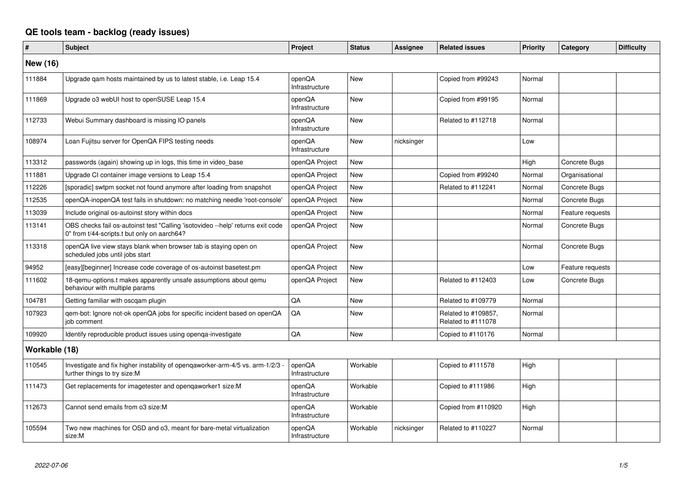## **QE tools team - backlog (ready issues)**

| #               | <b>Subject</b>                                                                                                                 | Project                  | <b>Status</b> | <b>Assignee</b> | <b>Related issues</b>                     | <b>Priority</b> | Category         | <b>Difficulty</b> |
|-----------------|--------------------------------------------------------------------------------------------------------------------------------|--------------------------|---------------|-----------------|-------------------------------------------|-----------------|------------------|-------------------|
| <b>New (16)</b> |                                                                                                                                |                          |               |                 |                                           |                 |                  |                   |
| 111884          | Upgrade qam hosts maintained by us to latest stable, i.e. Leap 15.4                                                            | openQA<br>Infrastructure | <b>New</b>    |                 | Copied from #99243                        | Normal          |                  |                   |
| 111869          | Upgrade o3 webUI host to openSUSE Leap 15.4                                                                                    | openQA<br>Infrastructure | <b>New</b>    |                 | Copied from #99195                        | Normal          |                  |                   |
| 112733          | Webui Summary dashboard is missing IO panels                                                                                   | openQA<br>Infrastructure | <b>New</b>    |                 | Related to #112718                        | Normal          |                  |                   |
| 108974          | Loan Fujitsu server for OpenQA FIPS testing needs                                                                              | openQA<br>Infrastructure | <b>New</b>    | nicksinger      |                                           | Low             |                  |                   |
| 113312          | passwords (again) showing up in logs, this time in video base                                                                  | openQA Project           | <b>New</b>    |                 |                                           | High            | Concrete Bugs    |                   |
| 111881          | Upgrade CI container image versions to Leap 15.4                                                                               | openQA Project           | <b>New</b>    |                 | Copied from #99240                        | Normal          | Organisational   |                   |
| 112226          | [sporadic] swtpm socket not found anymore after loading from snapshot                                                          | openQA Project           | <b>New</b>    |                 | Related to #112241                        | Normal          | Concrete Bugs    |                   |
| 112535          | openQA-inopenQA test fails in shutdown: no matching needle 'root-console'                                                      | openQA Project           | <b>New</b>    |                 |                                           | Normal          | Concrete Bugs    |                   |
| 113039          | Include original os-autoinst story within docs                                                                                 | openQA Project           | <b>New</b>    |                 |                                           | Normal          | Feature requests |                   |
| 113141          | OBS checks fail os-autoinst test "Calling 'isotovideo --help' returns exit code<br>0" from t/44-scripts.t but only on aarch64? | openQA Project           | <b>New</b>    |                 |                                           | Normal          | Concrete Bugs    |                   |
| 113318          | openQA live view stays blank when browser tab is staying open on<br>scheduled jobs until jobs start                            | openQA Project           | <b>New</b>    |                 |                                           | Normal          | Concrete Bugs    |                   |
| 94952           | [easy][beginner] Increase code coverage of os-autoinst basetest.pm                                                             | openQA Project           | New           |                 |                                           | Low             | Feature requests |                   |
| 111602          | 18-gemu-options.t makes apparently unsafe assumptions about gemu<br>behaviour with multiple params                             | openQA Project           | <b>New</b>    |                 | Related to #112403                        | Low             | Concrete Bugs    |                   |
| 104781          | Getting familiar with oscqam plugin                                                                                            | QA                       | <b>New</b>    |                 | Related to #109779                        | Normal          |                  |                   |
| 107923          | qem-bot: Ignore not-ok openQA jobs for specific incident based on openQA<br>job comment                                        | QA                       | <b>New</b>    |                 | Related to #109857,<br>Related to #111078 | Normal          |                  |                   |
| 109920          | Identify reproducible product issues using openga-investigate                                                                  | QA                       | <b>New</b>    |                 | Copied to #110176                         | Normal          |                  |                   |
| Workable (18)   |                                                                                                                                |                          |               |                 |                                           |                 |                  |                   |
| 110545          | Investigate and fix higher instability of openqaworker-arm-4/5 vs. arm-1/2/3 -<br>further things to try size:M                 | openQA<br>Infrastructure | Workable      |                 | Copied to #111578                         | High            |                  |                   |
| 111473          | Get replacements for imagetester and opengaworker1 size:M                                                                      | openQA<br>Infrastructure | Workable      |                 | Copied to #111986                         | High            |                  |                   |
| 112673          | Cannot send emails from o3 size:M                                                                                              | openQA<br>Infrastructure | Workable      |                 | Copied from #110920                       | High            |                  |                   |
| 105594          | Two new machines for OSD and o3, meant for bare-metal virtualization<br>size:M                                                 | openQA<br>Infrastructure | Workable      | nicksinger      | Related to #110227                        | Normal          |                  |                   |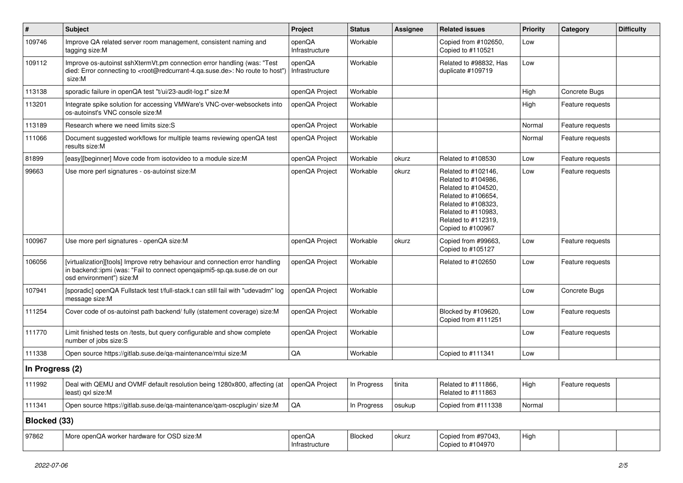| $\vert$ #       | <b>Subject</b>                                                                                                                                                                                    | Project                  | <b>Status</b> | <b>Assignee</b> | <b>Related issues</b>                                                                                                                                                              | <b>Priority</b> | Category         | <b>Difficulty</b> |
|-----------------|---------------------------------------------------------------------------------------------------------------------------------------------------------------------------------------------------|--------------------------|---------------|-----------------|------------------------------------------------------------------------------------------------------------------------------------------------------------------------------------|-----------------|------------------|-------------------|
| 109746          | Improve QA related server room management, consistent naming and<br>tagging size:M                                                                                                                | openQA<br>Infrastructure | Workable      |                 | Copied from #102650,<br>Copied to #110521                                                                                                                                          | Low             |                  |                   |
| 109112          | Improve os-autoinst sshXtermVt.pm connection error handling (was: "Test<br>died: Error connecting to <root@redcurrant-4.qa.suse.de>: No route to host")<br/>size:M</root@redcurrant-4.qa.suse.de> | openQA<br>Infrastructure | Workable      |                 | Related to #98832, Has<br>duplicate #109719                                                                                                                                        | Low             |                  |                   |
| 113138          | sporadic failure in openQA test "t/ui/23-audit-log.t" size:M                                                                                                                                      | openQA Project           | Workable      |                 |                                                                                                                                                                                    | High            | Concrete Bugs    |                   |
| 113201          | Integrate spike solution for accessing VMWare's VNC-over-websockets into<br>os-autoinst's VNC console size:M                                                                                      | openQA Project           | Workable      |                 |                                                                                                                                                                                    | High            | Feature requests |                   |
| 113189          | Research where we need limits size:S                                                                                                                                                              | openQA Project           | Workable      |                 |                                                                                                                                                                                    | Normal          | Feature requests |                   |
| 111066          | Document suggested workflows for multiple teams reviewing openQA test<br>results size:M                                                                                                           | openQA Project           | Workable      |                 |                                                                                                                                                                                    | Normal          | Feature requests |                   |
| 81899           | [easy][beginner] Move code from isotovideo to a module size:M                                                                                                                                     | openQA Project           | Workable      | okurz           | Related to #108530                                                                                                                                                                 | Low             | Feature requests |                   |
| 99663           | Use more perl signatures - os-autoinst size:M                                                                                                                                                     | openQA Project           | Workable      | okurz           | Related to #102146,<br>Related to #104986,<br>Related to #104520,<br>Related to #106654.<br>Related to #108323,<br>Related to #110983,<br>Related to #112319,<br>Copied to #100967 | Low             | Feature requests |                   |
| 100967          | Use more perl signatures - openQA size:M                                                                                                                                                          | openQA Project           | Workable      | okurz           | Copied from #99663,<br>Copied to #105127                                                                                                                                           | Low             | Feature requests |                   |
| 106056          | [virtualization][tools] Improve retry behaviour and connection error handling<br>in backend::ipmi (was: "Fail to connect openqaipmi5-sp.qa.suse.de on our<br>osd environment") size:M             | openQA Project           | Workable      |                 | Related to #102650                                                                                                                                                                 | Low             | Feature requests |                   |
| 107941          | [sporadic] openQA Fullstack test t/full-stack.t can still fail with "udevadm" log<br>message size:M                                                                                               | openQA Project           | Workable      |                 |                                                                                                                                                                                    | Low             | Concrete Bugs    |                   |
| 111254          | Cover code of os-autoinst path backend/ fully (statement coverage) size:M                                                                                                                         | openQA Project           | Workable      |                 | Blocked by #109620,<br>Copied from #111251                                                                                                                                         | Low             | Feature requests |                   |
| 111770          | Limit finished tests on /tests, but query configurable and show complete<br>number of jobs size:S                                                                                                 | openQA Project           | Workable      |                 |                                                                                                                                                                                    | Low             | Feature requests |                   |
| 111338          | Open source https://gitlab.suse.de/qa-maintenance/mtui size:M                                                                                                                                     | QA                       | Workable      |                 | Copied to #111341                                                                                                                                                                  | Low             |                  |                   |
| In Progress (2) |                                                                                                                                                                                                   |                          |               |                 |                                                                                                                                                                                    |                 |                  |                   |
| 111992          | Deal with QEMU and OVMF default resolution being 1280x800, affecting (at<br>least) qxl size:M                                                                                                     | openQA Project           | In Progress   | i tinita        | Related to #111866,<br>Related to #111863                                                                                                                                          | High            | Feature requests |                   |
| 111341          | Open source https://gitlab.suse.de/qa-maintenance/qam-oscplugin/ size:M                                                                                                                           | QA                       | In Progress   | osukup          | Copied from #111338                                                                                                                                                                | Normal          |                  |                   |
| Blocked (33)    |                                                                                                                                                                                                   |                          |               |                 |                                                                                                                                                                                    |                 |                  |                   |
| 97862           | More openQA worker hardware for OSD size:M                                                                                                                                                        | openQA<br>Infrastructure | Blocked       | okurz           | Copied from #97043,<br>Copied to #104970                                                                                                                                           | High            |                  |                   |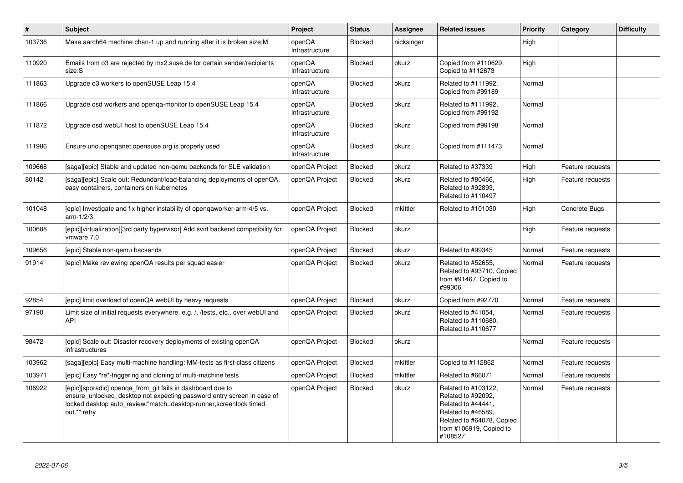| $\vert$ # | <b>Subject</b>                                                                                                                                                                                                            | Project                  | <b>Status</b>  | Assignee   | <b>Related issues</b>                                                                                                                                    | Priority | Category         | <b>Difficulty</b> |
|-----------|---------------------------------------------------------------------------------------------------------------------------------------------------------------------------------------------------------------------------|--------------------------|----------------|------------|----------------------------------------------------------------------------------------------------------------------------------------------------------|----------|------------------|-------------------|
| 103736    | Make aarch64 machine chan-1 up and running after it is broken size:M                                                                                                                                                      | openQA<br>Infrastructure | Blocked        | nicksinger |                                                                                                                                                          | High     |                  |                   |
| 110920    | Emails from o3 are rejected by mx2.suse.de for certain sender/recipients<br>size:S                                                                                                                                        | openQA<br>Infrastructure | Blocked        | okurz      | Copied from #110629,<br>Copied to #112673                                                                                                                | High     |                  |                   |
| 111863    | Upgrade o3 workers to openSUSE Leap 15.4                                                                                                                                                                                  | openQA<br>Infrastructure | Blocked        | okurz      | Related to #111992,<br>Copied from #99189                                                                                                                | Normal   |                  |                   |
| 111866    | Upgrade osd workers and openga-monitor to openSUSE Leap 15.4                                                                                                                                                              | openQA<br>Infrastructure | Blocked        | okurz      | Related to #111992,<br>Copied from #99192                                                                                                                | Normal   |                  |                   |
| 111872    | Upgrade osd webUI host to openSUSE Leap 15.4                                                                                                                                                                              | openQA<br>Infrastructure | <b>Blocked</b> | okurz      | Copied from #99198                                                                                                                                       | Normal   |                  |                   |
| 111986    | Ensure uno openganet opensuse org is properly used                                                                                                                                                                        | openQA<br>Infrastructure | <b>Blocked</b> | okurz      | Copied from #111473                                                                                                                                      | Normal   |                  |                   |
| 109668    | [saga][epic] Stable and updated non-qemu backends for SLE validation                                                                                                                                                      | openQA Project           | Blocked        | okurz      | Related to #37339                                                                                                                                        | High     | Feature requests |                   |
| 80142     | [saga][epic] Scale out: Redundant/load-balancing deployments of openQA,<br>easy containers, containers on kubernetes                                                                                                      | openQA Project           | Blocked        | okurz      | Related to #80466,<br>Related to #92893,<br>Related to #110497                                                                                           | High     | Feature requests |                   |
| 101048    | [epic] Investigate and fix higher instability of opengaworker-arm-4/5 vs.<br>$arm-1/2/3$                                                                                                                                  | openQA Project           | Blocked        | mkittler   | Related to #101030                                                                                                                                       | High     | Concrete Bugs    |                   |
| 100688    | [epic][virtualization][3rd party hypervisor] Add svirt backend compatibility for<br>vmware 7.0                                                                                                                            | openQA Project           | Blocked        | okurz      |                                                                                                                                                          | High     | Feature requests |                   |
| 109656    | [epic] Stable non-gemu backends                                                                                                                                                                                           | openQA Project           | Blocked        | okurz      | Related to #99345                                                                                                                                        | Normal   | Feature requests |                   |
| 91914     | [epic] Make reviewing openQA results per squad easier                                                                                                                                                                     | openQA Project           | <b>Blocked</b> | okurz      | Related to #52655,<br>Related to #93710, Copied<br>from #91467, Copied to<br>#99306                                                                      | Normal   | Feature requests |                   |
| 92854     | [epic] limit overload of openQA webUI by heavy requests                                                                                                                                                                   | openQA Project           | Blocked        | okurz      | Copied from #92770                                                                                                                                       | Normal   | Feature requests |                   |
| 97190     | Limit size of initial requests everywhere, e.g. /, /tests, etc., over webUI and<br>API                                                                                                                                    | openQA Project           | <b>Blocked</b> | okurz      | Related to #41054,<br>Related to #110680,<br>Related to #110677                                                                                          | Normal   | Feature requests |                   |
| 98472     | [epic] Scale out: Disaster recovery deployments of existing openQA<br>infrastructures                                                                                                                                     | openQA Project           | Blocked        | okurz      |                                                                                                                                                          | Normal   | Feature requests |                   |
| 103962    | [saga][epic] Easy multi-machine handling: MM-tests as first-class citizens                                                                                                                                                | openQA Project           | Blocked        | mkittler   | Copied to #112862                                                                                                                                        | Normal   | Feature requests |                   |
| 103971    | [epic] Easy *re*-triggering and cloning of multi-machine tests                                                                                                                                                            | openQA Project           | Blocked        | mkittler   | Related to #66071                                                                                                                                        | Normal   | Feature requests |                   |
| 106922    | [epic][sporadic] openga_from_git fails in dashboard due to<br>ensure unlocked desktop not expecting password entry screen in case of<br>locked desktop auto review:"match=desktop-runner,screenlock timed<br>out.*":retry | openQA Project           | <b>Blocked</b> | okurz      | Related to #103122,<br>Related to #92092,<br>Related to #44441,<br>Related to #46589,<br>Related to #64078, Copied<br>from #106919, Copied to<br>#108527 | Normal   | Feature requests |                   |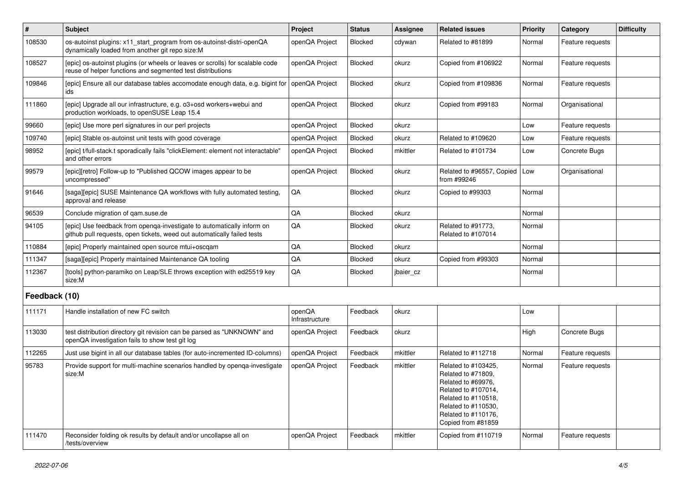| $\vert$ #     | <b>Subject</b>                                                                                                                                    | Project                  | <b>Status</b>  | <b>Assignee</b> | <b>Related issues</b>                                                                                                                                                             | <b>Priority</b> | Category         | <b>Difficulty</b> |
|---------------|---------------------------------------------------------------------------------------------------------------------------------------------------|--------------------------|----------------|-----------------|-----------------------------------------------------------------------------------------------------------------------------------------------------------------------------------|-----------------|------------------|-------------------|
| 108530        | os-autoinst plugins: x11_start_program from os-autoinst-distri-openQA<br>dynamically loaded from another git repo size:M                          | openQA Project           | <b>Blocked</b> | cdywan          | Related to #81899                                                                                                                                                                 | Normal          | Feature requests |                   |
| 108527        | [epic] os-autoinst plugins (or wheels or leaves or scrolls) for scalable code<br>reuse of helper functions and segmented test distributions       | openQA Project           | Blocked        | okurz           | Copied from #106922                                                                                                                                                               | Normal          | Feature requests |                   |
| 109846        | [epic] Ensure all our database tables accomodate enough data, e.g. bigint for<br>ids                                                              | openQA Project           | <b>Blocked</b> | okurz           | Copied from #109836                                                                                                                                                               | Normal          | Feature requests |                   |
| 111860        | [epic] Upgrade all our infrastructure, e.g. o3+osd workers+webui and<br>production workloads, to openSUSE Leap 15.4                               | openQA Project           | Blocked        | okurz           | Copied from #99183                                                                                                                                                                | Normal          | Organisational   |                   |
| 99660         | [epic] Use more perl signatures in our perl projects                                                                                              | openQA Project           | Blocked        | okurz           |                                                                                                                                                                                   | Low             | Feature requests |                   |
| 109740        | [epic] Stable os-autoinst unit tests with good coverage                                                                                           | openQA Project           | <b>Blocked</b> | okurz           | Related to #109620                                                                                                                                                                | Low             | Feature requests |                   |
| 98952         | [epic] t/full-stack.t sporadically fails "clickElement: element not interactable"<br>and other errors                                             | openQA Project           | <b>Blocked</b> | mkittler        | Related to #101734                                                                                                                                                                | Low             | Concrete Bugs    |                   |
| 99579         | [epic][retro] Follow-up to "Published QCOW images appear to be<br>uncompressed"                                                                   | openQA Project           | Blocked        | okurz           | Related to #96557, Copied<br>from #99246                                                                                                                                          | Low             | Organisational   |                   |
| 91646         | [saga][epic] SUSE Maintenance QA workflows with fully automated testing,<br>approval and release                                                  | QA                       | Blocked        | okurz           | Copied to #99303                                                                                                                                                                  | Normal          |                  |                   |
| 96539         | Conclude migration of qam.suse.de                                                                                                                 | QA                       | Blocked        | okurz           |                                                                                                                                                                                   | Normal          |                  |                   |
| 94105         | [epic] Use feedback from openga-investigate to automatically inform on<br>github pull requests, open tickets, weed out automatically failed tests | QA                       | <b>Blocked</b> | okurz           | Related to #91773,<br>Related to #107014                                                                                                                                          | Normal          |                  |                   |
| 110884        | [epic] Properly maintained open source mtui+oscgam                                                                                                | QA                       | <b>Blocked</b> | okurz           |                                                                                                                                                                                   | Normal          |                  |                   |
| 111347        | [saga][epic] Properly maintained Maintenance QA tooling                                                                                           | QA                       | <b>Blocked</b> | okurz           | Copied from #99303                                                                                                                                                                | Normal          |                  |                   |
| 112367        | [tools] python-paramiko on Leap/SLE throws exception with ed25519 key<br>size:M                                                                   | QA                       | <b>Blocked</b> | jbaier_cz       |                                                                                                                                                                                   | Normal          |                  |                   |
| Feedback (10) |                                                                                                                                                   |                          |                |                 |                                                                                                                                                                                   |                 |                  |                   |
| 111171        | Handle installation of new FC switch                                                                                                              | openQA<br>Infrastructure | Feedback       | okurz           |                                                                                                                                                                                   | Low             |                  |                   |
| 113030        | test distribution directory git revision can be parsed as "UNKNOWN" and<br>openQA investigation fails to show test git log                        | openQA Project           | Feedback       | okurz           |                                                                                                                                                                                   | High            | Concrete Bugs    |                   |
| 112265        | Just use bigint in all our database tables (for auto-incremented ID-columns)                                                                      | openQA Project           | Feedback       | mkittler        | Related to #112718                                                                                                                                                                | Normal          | Feature requests |                   |
| 95783         | Provide support for multi-machine scenarios handled by openga-investigate<br>size:M                                                               | openQA Project           | Feedback       | mkittler        | Related to #103425.<br>Related to #71809,<br>Related to #69976,<br>Related to #107014,<br>Related to #110518,<br>Related to #110530,<br>Related to #110176,<br>Copied from #81859 | Normal          | Feature requests |                   |
| 111470        | Reconsider folding ok results by default and/or uncollapse all on<br>/tests/overview                                                              | openQA Project           | Feedback       | mkittler        | Copied from #110719                                                                                                                                                               | Normal          | Feature requests |                   |